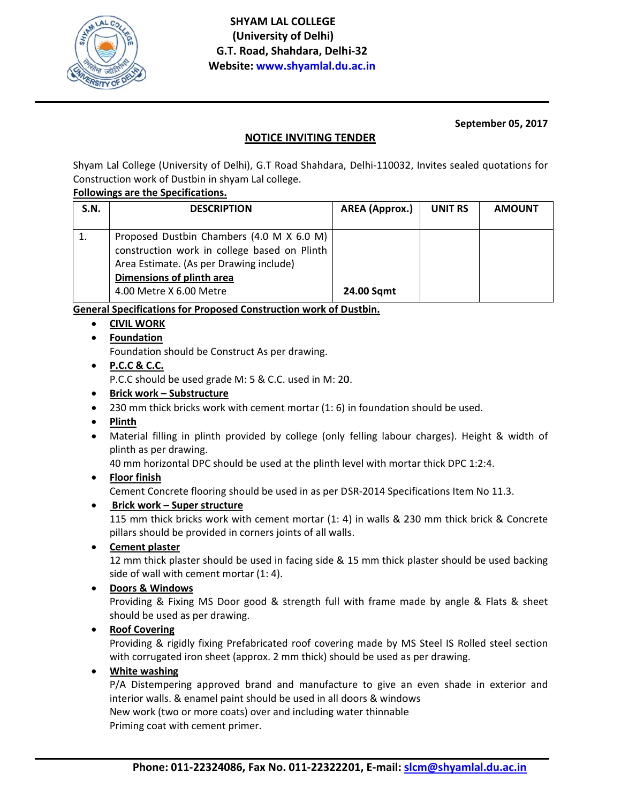

## September 05, 2017

# **NOTICE INVITING TENDER**

Shyam Lal College (University of Delhi), G.T Road Shahdara, Delhi-110032, Invites sealed quotations for Construction work of Dustbin in shyam Lal college.

#### Followings are the Specifications.

| S.N. | <b>DESCRIPTION</b>                                                                                                                                                                           | <b>AREA</b> (Approx.) | UNIT RS | <b>AMOUNT</b> |
|------|----------------------------------------------------------------------------------------------------------------------------------------------------------------------------------------------|-----------------------|---------|---------------|
|      | Proposed Dustbin Chambers (4.0 M X 6.0 M)<br>construction work in college based on Plinth<br>Area Estimate. (As per Drawing include)<br>Dimensions of plinth area<br>4.00 Metre X 6.00 Metre | <b>24.00 Sqmt</b>     |         |               |

General Specifications for Proposed Construction work of Dustbin.

- CIVIL WORK
- Foundation

Foundation should be Construct As per drawing.

- $\bullet$  P.C.C & C.C. P.C.C should be used grade M: 5 & C.C. used in M: 20.
- Brick work Substructure
- 230 mm thick bricks work with cement mortar (1: 6) in foundation should be used.
- **Plinth**
- Material filling in plinth provided by college (only felling labour charges). Height & width of plinth as per drawing.

40 mm horizontal DPC should be used at the plinth level with mortar thick DPC 1:2:4.

• Floor finish

Cement Concrete flooring should be used in as per DSR-2014 Specifications Item No 11.3.

• Brick work - Super structure

115 mm thick bricks work with cement mortar (1: 4) in walls & 230 mm thick brick & Concrete pillars should be provided in corners joints of all walls.

**Cement plaster** 

12 mm thick plaster should be used in facing side & 15 mm thick plaster should be used backing side of wall with cement mortar (1: 4).

• Doors & Windows

Providing & Fixing MS Door good & strength full with frame made by angle & Flats & sheet should be used as per drawing.

• Roof Covering

Providing & rigidly fixing Prefabricated roof covering made by MS Steel IS Rolled steel section with corrugated iron sheet (approx. 2 mm thick) should be used as per drawing.

• White washing

P/A Distempering approved brand and manufacture to give an even shade in exterior and interior walls. & enamel paint should be used in all doors & windows New work (two or more coats) over and including water thinnable

Priming coat with cement primer.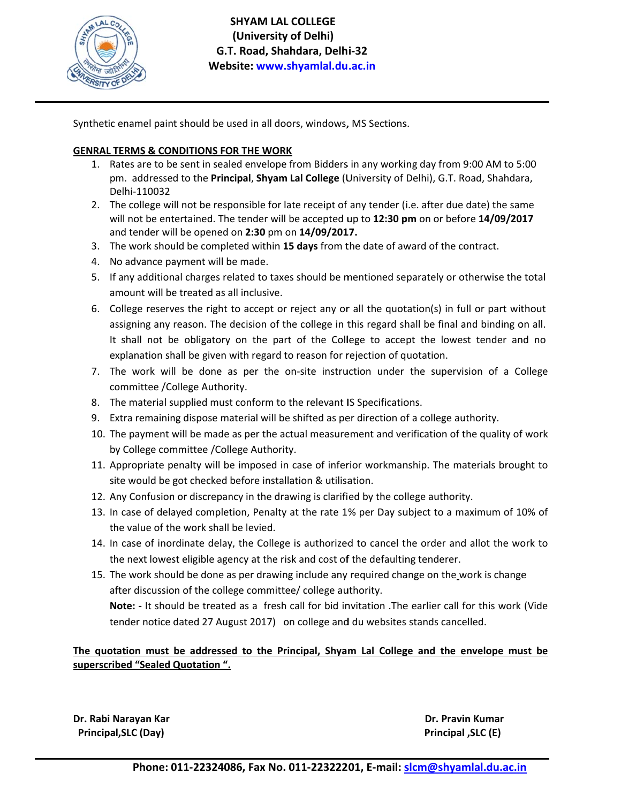

 **S SHYAM LAL COLLEGE G.T T. Road, Sha hdara, Delh i‐32 Web site: www.s shyamlal.du .ac.in (University of Delhi)**

Synthetic enamel paint should be used in all doors, windows, MS Sections.

# **GENRAL TERMS & CONDITIONS FOR THE WORK**

- 1. Rates are to be sent in sealed envelope from Bidders in any working day from 9:00 AM to 5:00 pm. addressed to the Principal, Shyam Lal College (University of Delhi), G.T. Road, Shahdara, D elhi‐110032
- 2. The college will not be responsible for late receipt of any tender (i.e. after due date) the same will not be entertained. The tender will be accepted up to 12:30 pm on or before 14/09/2017 and tender will be opened on 2:30 pm on 14/09/2017.
- 3. The work should be completed within 15 days from the date of award of the contract.
- 4. No advance payment will be made.
- 5. If any additional charges related to taxes should be mentioned separately or otherwise the total amount will be treated as all inclusive.
- 6. College reserves the right to accept or reject any or all the quotation(s) in full or part without assigning any reason. The decision of the college in this regard shall be final and binding on all. It shall not be obligatory on the part of the College to accept the lowest tender and no explanation shall be given with regard to reason for rejection of quotation.
- 7. The work will be done as per the on-site instruction under the supervision of a College committee /College Authority.
- 8. The material supplied must conform to the relevant IS Specifications.
- 9. Extra remaining dispose material will be shifted as per direction of a college authority.
- 10. The payment will be made as per the actual measurement and verification of the quality of work by College committee / College Authority.
- 11. Appropriate penalty will be imposed in case of inferior workmanship. The materials brought to site would be got checked before installation & utilisation.
- 12. Any Confusion or discrepancy in the drawing is clarified by the college authority.
- 13. In case of delayed completion, Penalty at the rate 1% per Day subject to a maximum of 10% of the value of the work shall be levied.
- 14. In case of inordinate delay, the College is authorized to cancel the order and allot the work to the next lowest eligible agency at the risk and cost of the defaulting tenderer.
- 15. The work should be done as per drawing include any required change on the work is change after discussion of the college committee/ college authority. The work should be done as per drawing include any required change on the\_work is change<br>after discussion of the college committee/ college authority.<br>**Note:** - It should be treated as a fresh call for bid invitation .The

tender notice dated 27 August 2017) on college and du websites stands cancelled.

## The quotation must be addressed to the Principal, Shyam Lal College and the envelope must be **superscrib bed "Sealed Q Quotation ".**

**Dr. Rabi N Narayan Kar Principa l,SLC (Day)** 

 **Dr. Pravi in Kumar Principal l ,SLC (E)**